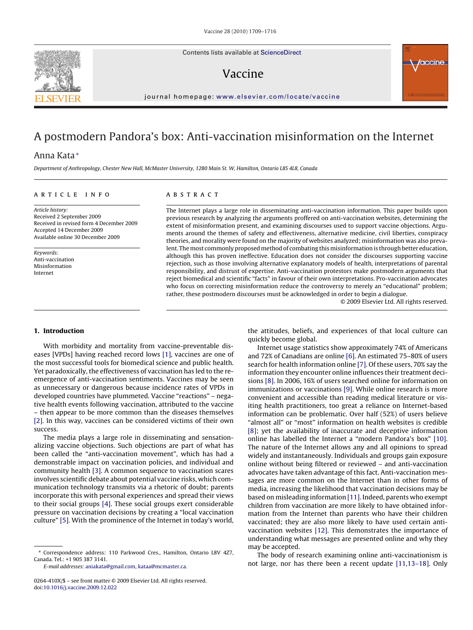Contents lists available at [ScienceDirect](http://www.sciencedirect.com/science/journal/0264410X)

# Vaccine

journal homepage: [www.elsevier.com/locate/vaccine](http://www.elsevier.com/locate/vaccine)

# A postmodern Pandora's box: Anti-vaccination misinformation on the Internet

# Anna Kata<sup>∗</sup>

Department of Anthropology, Chester New Hall, McMaster University, 1280 Main St. W, Hamilton, Ontario L8S 4L8, Canada

## article info

Article history: Received 2 September 2009 Received in revised form 4 December 2009 Accepted 14 December 2009 Available online 30 December 2009

Keywords: Anti-vaccination Misinformation Internet

# ABSTRACT

The Internet plays a large role in disseminating anti-vaccination information. This paper builds upon previous research by analyzing the arguments proffered on anti-vaccination websites, determining the extent of misinformation present, and examining discourses used to support vaccine objections. Arguments around the themes of safety and effectiveness, alternative medicine, civil liberties, conspiracy theories, and morality were found on the majority of websites analyzed; misinformation was also prevalent. The most commonly proposed method of combating this misinformation is through better education, although this has proven ineffective. Education does not consider the discourses supporting vaccine rejection, such as those involving alternative explanatory models of health, interpretations of parental responsibility, and distrust of expertise. Anti-vaccination protestors make postmodern arguments that reject biomedical and scientific "facts" in favour of their own interpretations. Pro-vaccination advocates who focus on correcting misinformation reduce the controversy to merely an "educational" problem; rather, these postmodern discourses must be acknowledged in order to begin a dialogue.

© 2009 Elsevier Ltd. All rights reserved.

## **1. Introduction**

With morbidity and mortality from vaccine-preventable diseases [VPDs] having reached record lows [\[1\],](#page-6-0) vaccines are one of the most successful tools for biomedical science and public health. Yet paradoxically, the effectiveness of vaccination has led to the reemergence of anti-vaccination sentiments. Vaccines may be seen as unnecessary or dangerous because incidence rates of VPDs in developed countries have plummeted. Vaccine "reactions" – negative health events following vaccination, attributed to the vaccine – then appear to be more common than the diseases themselves [\[2\].](#page-6-0) In this way, vaccines can be considered victims of their own success.

The media plays a large role in disseminating and sensationalizing vaccine objections. Such objections are part of what has been called the "anti-vaccination movement", which has had a demonstrable impact on vaccination policies, and individual and community health [\[3\]. A](#page-6-0) common sequence to vaccination scares involves scientific debate about potential vaccine risks, which communication technology transmits via a rhetoric of doubt; parents incorporate this with personal experiences and spread their views to their social groups [\[4\].](#page-6-0) These social groups exert considerable pressure on vaccination decisions by creating a "local vaccination culture" [\[5\]. W](#page-6-0)ith the prominence of the Internet in today's world,

E-mail addresses: [aniakata@gmail.com,](mailto:aniakata@gmail.com) [kataa@mcmaster.ca](mailto:kataa@mcmaster.ca).

the attitudes, beliefs, and experiences of that local culture can quickly become global.

Internet usage statistics show approximately 74% of Americans and 72% of Canadians are online [\[6\]. A](#page-6-0)n estimated 75–80% of users search for health information online [\[7\]. O](#page-6-0)f these users, 70% say the information they encounter online influences their treatment decisions [\[8\]. I](#page-6-0)n 2006, 16% of users searched online for information on immunizations or vaccinations [\[9\]. W](#page-6-0)hile online research is more convenient and accessible than reading medical literature or visiting health practitioners, too great a reliance on Internet-based information can be problematic. Over half (52%) of users believe "almost all" or "most" information on health websites is credible [\[8\];](#page-6-0) yet the availability of inaccurate and deceptive information online has labelled the Internet a "modern Pandora's box" [\[10\].](#page-6-0) The nature of the Internet allows any and all opinions to spread widely and instantaneously. Individuals and groups gain exposure online without being filtered or reviewed – and anti-vaccination advocates have taken advantage of this fact. Anti-vaccination messages are more common on the Internet than in other forms of media, increasing the likelihood that vaccination decisions may be based on misleading information [\[11\]. I](#page-6-0)ndeed, parents who exempt children from vaccination are more likely to have obtained information from the Internet than parents who have their children vaccinated; they are also more likely to have used certain antivaccination websites [\[12\].](#page-6-0) This demonstrates the importance of understanding what messages are presented online and why they may be accepted.

The body of research examining online anti-vaccinationism is not large, nor has there been a recent update [\[11,13–18\].](#page-6-0) Only





<sup>∗</sup> Correspondence address: 110 Parkwood Cres., Hamilton, Ontario L8V 4Z7, Canada. Tel.: +1 905 387 3141.

<sup>0264-410</sup>X/\$ – see front matter © 2009 Elsevier Ltd. All rights reserved. doi:[10.1016/j.vaccine.2009.12.022](dx.doi.org/10.1016/j.vaccine.2009.12.022)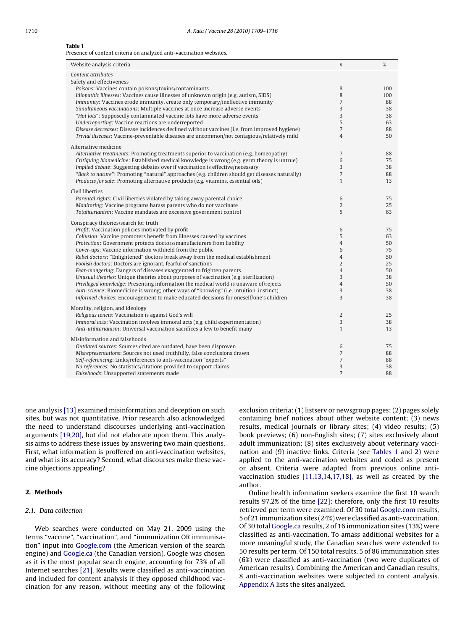#### <span id="page-1-0"></span>**Table 1**

Presence of content criteria on analyzed anti-vaccination websites.

| Website analysis criteria                                                                                                                                 | $\boldsymbol{n}$    | %        |  |  |
|-----------------------------------------------------------------------------------------------------------------------------------------------------------|---------------------|----------|--|--|
| Content attributes                                                                                                                                        |                     |          |  |  |
| Safety and effectiveness                                                                                                                                  |                     |          |  |  |
| Poisons: Vaccines contain poisons/toxins/contaminants                                                                                                     | 8                   | 100      |  |  |
| Idiopathic illnesses: Vaccines cause illnesses of unknown origin (e.g. autism, SIDS)                                                                      | 8                   | 100      |  |  |
| <i>Immunity:</i> Vaccines erode immunity, create only temporary/ineffective immunity                                                                      | $\overline{7}$<br>3 | 88       |  |  |
| Simultaneous vaccinations: Multiple vaccines at once increase adverse events<br>"Hot lots": Supposedly contaminated vaccine lots have more adverse events | 3                   | 38<br>38 |  |  |
| Underreporting: Vaccine reactions are underreported                                                                                                       | 5                   | 63       |  |  |
| Disease decreases: Disease incidences declined without vaccines (i.e. from improved hygiene)                                                              | $\overline{7}$      | 88       |  |  |
| Trivial diseases: Vaccine-preventable diseases are uncommon/not contagious/relatively mild                                                                | $\overline{4}$      | 50       |  |  |
|                                                                                                                                                           |                     |          |  |  |
| Alternative medicine                                                                                                                                      |                     |          |  |  |
| Alternative treatments: Promoting treatments superior to vaccination (e.g. homeopathy)                                                                    | $\overline{7}$      | 88       |  |  |
| Critiquing biomedicine: Established medical knowledge is wrong (e.g. germ theory is untrue)                                                               | 6                   | 75       |  |  |
| Implied debate: Suggesting debates over if vaccination is effective/necessary                                                                             | 3                   | 38       |  |  |
| "Back to nature": Promoting "natural" approaches (e.g. children should get diseases naturally)                                                            | $\overline{7}$      | 88       |  |  |
| Products for sale: Promoting alternative products (e.g. vitamins, essential oils)                                                                         | $\mathbf{1}$        | 13       |  |  |
| Civil liberties                                                                                                                                           |                     |          |  |  |
| Parental rights: Civil liberties violated by taking away parental choice                                                                                  | 6                   | 75       |  |  |
| Monitoring: Vaccine programs harass parents who do not vaccinate                                                                                          | $\overline{2}$      | 25       |  |  |
| Totalitarianism: Vaccine mandates are excessive government control                                                                                        | 5                   | 63       |  |  |
| Conspiracy theories/search for truth                                                                                                                      |                     |          |  |  |
| Profit: Vaccination policies motivated by profit                                                                                                          | 6                   | 75       |  |  |
| Collusion: Vaccine promoters benefit from illnesses caused by vaccines                                                                                    | 5                   | 63       |  |  |
| Protection: Government protects doctors/manufacturers from liability                                                                                      | $\overline{4}$      | 50       |  |  |
| Cover-ups: Vaccine information withheld from the public                                                                                                   | 6                   | 75       |  |  |
| Rebel doctors: "Enlightened" doctors break away from the medical establishment                                                                            | $\overline{4}$      | 50       |  |  |
| Foolish doctors: Doctors are ignorant, fearful of sanctions                                                                                               | $\overline{2}$      | 25       |  |  |
| Fear-mongering: Dangers of diseases exaggerated to frighten parents                                                                                       | $\overline{4}$      | 50       |  |  |
| Unusual theories: Unique theories about purposes of vaccination (e.g. sterilization)                                                                      | 3                   | 38       |  |  |
| Privileged knowledge: Presenting information the medical world is unaware of/rejects                                                                      | $\overline{4}$      | 50       |  |  |
| Anti-science: Biomedicine is wrong; other ways of "knowing" (i.e. intuition, instinct)                                                                    | 3                   | 38       |  |  |
| Informed choices: Encouragement to make educated decisions for oneself/one's children                                                                     | 3                   | 38       |  |  |
| Morality, religion, and ideology                                                                                                                          |                     |          |  |  |
| Religious tenets: Vaccination is against God's will                                                                                                       | $\overline{2}$      | 25       |  |  |
| Immoral acts: Vaccination involves immoral acts (e.g. child experimentation)                                                                              | 3                   | 38       |  |  |
| Anti-utilitarianism: Universal vaccination sacrifices a few to benefit many                                                                               | $\mathbf{1}$        | 13       |  |  |
| Misinformation and falsehoods                                                                                                                             |                     |          |  |  |
| Outdated sources: Sources cited are outdated, have been disproven                                                                                         | 6                   | 75       |  |  |
| Misrepresentations: Sources not used truthfully, false conclusions drawn                                                                                  | $\overline{7}$      | 88       |  |  |
| Self-referencing: Links/references to anti-vaccination "experts"                                                                                          | $\sqrt{ }$          | 88       |  |  |
| No references: No statistics/citations provided to support claims                                                                                         | 3                   | 38       |  |  |
| Falsehoods: Unsupported statements made                                                                                                                   | $\overline{7}$      | 88       |  |  |

one analysis [\[13\]](#page-6-0) examined misinformation and deception on such sites, but was not quantitative. Prior research also acknowledged the need to understand discourses underlying anti-vaccination arguments [\[19,20\], b](#page-7-0)ut did not elaborate upon them. This analysis aims to address these issues by answering two main questions. First, what information is proffered on anti-vaccination websites, and what is its accuracy? Second, what discourses make these vaccine objections appealing?

# **2. Methods**

# 2.1. Data collection

Web searches were conducted on May 21, 2009 using the terms "vaccine", "vaccination", and "immunization OR immunisation" input into [Google.com](http://google.com/) (the American version of the search engine) and [Google.ca](http://google.ca/) (the Canadian version). Google was chosen as it is the most popular search engine, accounting for 73% of all Internet searches [\[21\].](#page-7-0) Results were classified as anti-vaccination and included for content analysis if they opposed childhood vaccination for any reason, without meeting any of the following exclusion criteria: (1) listserv or newsgroup pages; (2) pages solely containing brief notices about other website content; (3) news results, medical journals or library sites; (4) video results; (5) book previews; (6) non-English sites; (7) sites exclusively about adult immunization; (8) sites exclusively about veterinary vaccination and (9) inactive links. Criteria (see Tables 1 and 2) were applied to the anti-vaccination websites and coded as present or absent. Criteria were adapted from previous online antivaccination studies [\[11,13,14,17,18\],](#page-6-0) as well as created by the author.

Online health information seekers examine the first 10 search results 97.2% of the time [\[22\];](#page-7-0) therefore, only the first 10 results retrieved per term were examined. Of 30 total [Google.com](http://google.com/) results, 5 of 21 immunization sites (24%) were classified as anti-vaccination. Of 30 total [Google.ca](http://google.ca/) results, 2 of 16 immunization sites (13%) were classified as anti-vaccination. To amass additional websites for a more meaningful study, the Canadian searches were extended to 50 results per term. Of 150 total results, 5 of 86 immunization sites (6%) were classified as anti-vaccination (two were duplicates of American results). Combining the American and Canadian results, 8 anti-vaccination websites were subjected to content analysis. [Appendix A](#page-6-0) lists the sites analyzed.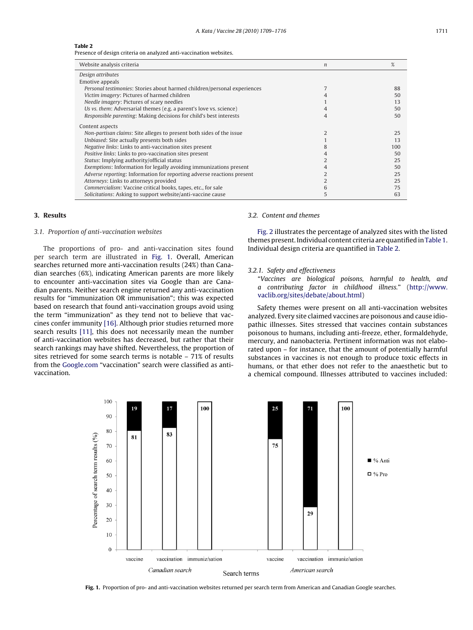## **Table 2**

Presence of design criteria on analyzed anti-vaccination websites.

| Website analysis criteria                                                | $\boldsymbol{n}$ | %   |
|--------------------------------------------------------------------------|------------------|-----|
| Design attributes                                                        |                  |     |
| Emotive appeals                                                          |                  |     |
| Personal testimonies: Stories about harmed children/personal experiences |                  | 88  |
| Victim imagery: Pictures of harmed children                              |                  | 50  |
| Needle imagery: Pictures of scary needles                                |                  | 13  |
| Us vs. them: Adversarial themes (e.g. a parent's love vs. science)       |                  | 50  |
| Responsible parenting: Making decisions for child's best interests       | 4                | 50  |
| Content aspects                                                          |                  |     |
| Non-partisan claims: Site alleges to present both sides of the issue     |                  | 25  |
| Unbiased: Site actually presents both sides                              |                  | 13  |
| <i>Negative links: Links to anti-vaccination sites present</i>           |                  | 100 |
| Positive links: Links to pro-vaccination sites present                   | 4                | 50  |
| Status: Implying authority/official status                               |                  | 25  |
| Exemptions: Information for legally avoiding immunizations present       |                  | 50  |
| Adverse reporting: Information for reporting adverse reactions present   |                  | 25  |
| Attorneys: Links to attorneys provided                                   |                  | 25  |
| Commercialism: Vaccine critical books, tapes, etc., for sale             | 6                | 75  |
| Solicitations: Asking to support website/anti-vaccine cause              | 5                | 63  |
|                                                                          |                  |     |

# **3. Results**

## 3.1. Proportion of anti-vaccination websites

The proportions of pro- and anti-vaccination sites found per search term are illustrated in Fig. 1. Overall, American searches returned more anti-vaccination results (24%) than Canadian searches (6%), indicating American parents are more likely to encounter anti-vaccination sites via Google than are Canadian parents. Neither search engine returned any anti-vaccination results for "immunization OR immunisation"; this was expected based on research that found anti-vaccination groups avoid using the term "immunization" as they tend not to believe that vaccines confer immunity [\[16\]. A](#page-6-0)lthough prior studies returned more search results [\[11\],](#page-6-0) this does not necessarily mean the number of anti-vaccination websites has decreased, but rather that their search rankings may have shifted. Nevertheless, the proportion of sites retrieved for some search terms is notable – 71% of results from the [Google.com](http://google.com/) "vaccination" search were classified as antivaccination.

# 3.2. Content and themes

[Fig. 2](#page-3-0) illustrates the percentage of analyzed sites with the listed themes present. Individual content criteria are quantified in[Table 1.](#page-1-0) Individual design criteria are quantified in Table 2.

#### 3.2.1. Safety and effectiveness

"Vaccines are biological poisons, harmful to health, and a contributing factor in childhood illness." ([http://www.](http://www.vaclib.org/sites/debate/about.html) vaclib.org/sites/debate/about.html)

Safety themes were present on all anti-vaccination websites analyzed. Every site claimed vaccines are poisonous and cause idiopathic illnesses. Sites stressed that vaccines contain substances poisonous to humans, including anti-freeze, ether, formaldehyde, mercury, and nanobacteria. Pertinent information was not elaborated upon – for instance, that the amount of potentially harmful substances in vaccines is not enough to produce toxic effects in humans, or that ether does not refer to the anaesthetic but to a chemical compound. Illnesses attributed to vaccines included:



**Fig. 1.** Proportion of pro- and anti-vaccination websites returned per search term from American and Canadian Google searches.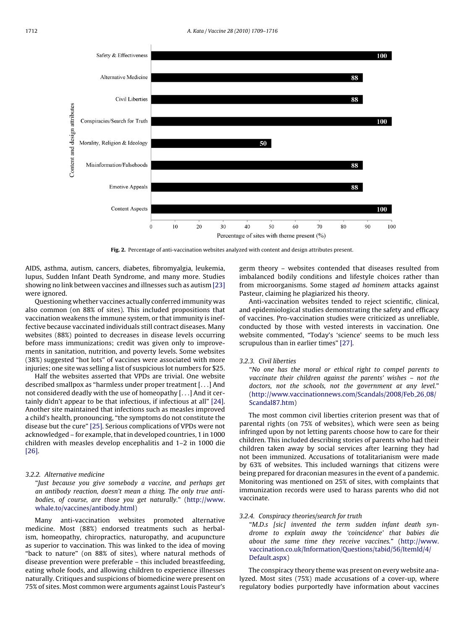<span id="page-3-0"></span>

**Fig. 2.** Percentage of anti-vaccination websites analyzed with content and design attributes present.

AIDS, asthma, autism, cancers, diabetes, fibromyalgia, leukemia, lupus, Sudden Infant Death Syndrome, and many more. Studies showing no link between vaccines and illnesses such as autism [\[23\]](#page-7-0) were ignored.

Questioning whether vaccines actually conferred immunity was also common (on 88% of sites). This included propositions that vaccination weakens the immune system, or that immunity is ineffective because vaccinated individuals still contract diseases. Many websites (88%) pointed to decreases in disease levels occurring before mass immunizations; credit was given only to improvements in sanitation, nutrition, and poverty levels. Some websites (38%) suggested "hot lots" of vaccines were associated with more injuries; one site was selling a list of suspicious lot numbers for \$25.

Half the websites asserted that VPDs are trivial. One website described smallpox as "harmless under proper treatment [...] And not considered deadly with the use of homeopathy [...] And it certainly didn't appear to be that infectious, if infectious at all" [\[24\].](#page-7-0) Another site maintained that infections such as measles improved a child's health, pronouncing, "the symptoms do not constitute the disease but the cure" [\[25\]. S](#page-7-0)erious complications of VPDs were not acknowledged – for example, that in developed countries, 1 in 1000 children with measles develop encephalitis and 1–2 in 1000 die [\[26\].](#page-7-0)

# 3.2.2. Alternative medicine

"Just because you give somebody a vaccine, and perhaps get an antibody reaction, doesn't mean a thing. The only true antibodies, of course, are those you get naturally." [\(http://www.](http://www.whale.to/vaccines/antibody.html) whale.to/vaccines/antibody.html)

Many anti-vaccination websites promoted alternative medicine. Most (88%) endorsed treatments such as herbalism, homeopathy, chiropractics, naturopathy, and acupuncture as superior to vaccination. This was linked to the idea of moving "back to nature" (on 88% of sites), where natural methods of disease prevention were preferable – this included breastfeeding, eating whole foods, and allowing children to experience illnesses naturally. Critiques and suspicions of biomedicine were present on 75% of sites. Most common were arguments against Louis Pasteur's germ theory – websites contended that diseases resulted from imbalanced bodily conditions and lifestyle choices rather than from microorganisms. Some staged ad hominem attacks against Pasteur, claiming he plagiarized his theory.

Anti-vaccination websites tended to reject scientific, clinical, and epidemiological studies demonstrating the safety and efficacy of vaccines. Pro-vaccination studies were criticized as unreliable, conducted by those with vested interests in vaccination. One website commented, "Today's 'science' seems to be much less scrupulous than in earlier times" [\[27\].](#page-7-0)

#### 3.2.3. Civil liberties

"No one has the moral or ethical right to compel parents to vaccinate their children against the parents' wishes – not the doctors, not the schools, not the government at any level." ([http://www.vaccinationnews.com/Scandals/2008/Feb](http://www.vaccinationnews.com/Scandals/2008/Feb_26_08/Scandal87.htm) 26 08/ Scandal87.htm)

The most common civil liberties criterion present was that of parental rights (on 75% of websites), which were seen as being infringed upon by not letting parents choose how to care for their children. This included describing stories of parents who had their children taken away by social services after learning they had not been immunized. Accusations of totalitarianism were made by 63% of websites. This included warnings that citizens were being prepared for draconian measures in the event of a pandemic. Monitoring was mentioned on 25% of sites, with complaints that immunization records were used to harass parents who did not vaccinate.

# 3.2.4. Conspiracy theories/search for truth

"M.D.s [sic] invented the term sudden infant death syndrome to explain away the 'coincidence' that babies die about the same time they receive vaccines." ([http://www.](http://www.vaccination.co.uk/Information/Questions/tabid/56/ItemId/4/Default.aspx) vaccination.co.uk/Information/Questions/tabid/56/ItemId/4/ Default.aspx)

The conspiracy theory theme was present on every website analyzed. Most sites (75%) made accusations of a cover-up, where regulatory bodies purportedly have information about vaccines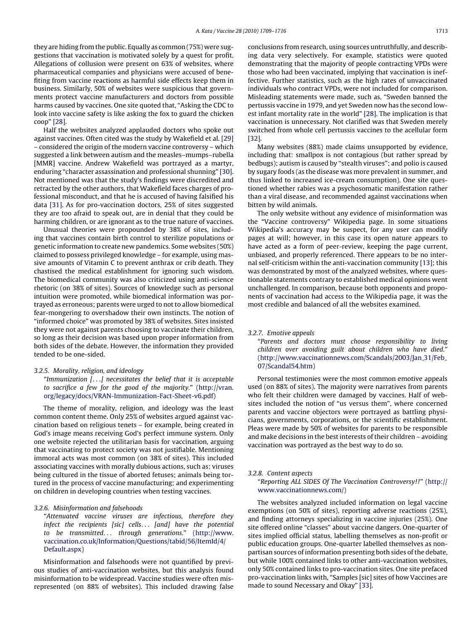they are hiding from the public. Equally as common (75%) were suggestions that vaccination is motivated solely by a quest for profit. Allegations of collusion were present on 63% of websites, where pharmaceutical companies and physicians were accused of benefiting from vaccine reactions as harmful side effects keep them in business. Similarly, 50% of websites were suspicious that governments protect vaccine manufacturers and doctors from possible harms caused by vaccines. One site quoted that, "Asking the CDC to look into vaccine safety is like asking the fox to guard the chicken coop" [\[28\].](#page-7-0)

Half the websites analyzed applauded doctors who spoke out against vaccines. Often cited was the study by Wakefield et al. [\[29\]](#page-7-0) – considered the origin of the modern vaccine controversy – which suggested a link between autism and the measles–mumps–rubella [MMR] vaccine. Andrew Wakefield was portrayed as a martyr, enduring "character assassination and professional shunning" [\[30\].](#page-7-0) Not mentioned was that the study's findings were discredited and retracted by the other authors, that Wakefield faces charges of professional misconduct, and that he is accused of having falsified his data [\[31\].](#page-7-0) As for pro-vaccination doctors, 25% of sites suggested they are too afraid to speak out, are in denial that they could be harming children, or are ignorant as to the true nature of vaccines.

Unusual theories were propounded by 38% of sites, including that vaccines contain birth control to sterilize populations or genetic information to create new pandemics. Some websites (50%) claimed to possess privileged knowledge – for example, using massive amounts of Vitamin C to prevent anthrax or crib death. They chastised the medical establishment for ignoring such wisdom. The biomedical community was also criticized using anti-science rhetoric (on 38% of sites). Sources of knowledge such as personal intuition were promoted, while biomedical information was portrayed as erroneous; parents were urged to not to allow biomedical fear-mongering to overshadow their own instincts. The notion of "informed choice" was promoted by 38% of websites. Sites insisted they were not against parents choosing to vaccinate their children, so long as their decision was based upon proper information from both sides of the debate. However, the information they provided tended to be one-sided.

3.2.5. Morality, religion, and ideology

"Immunization [...] necessitates the belief that it is acceptable to sacrifice a few for the good of the majority." (http://vran. org/legacy/docs/VRAN-Immunization-Fact-Sheet-v6.pdf)

The theme of morality, religion, and ideology was the least common content theme. Only 25% of websites argued against vaccination based on religious tenets – for example, being created in God's image means receiving God's perfect immune system. Only one website rejected the utilitarian basis for vaccination, arguing that vaccinating to protect society was not justifiable. Mentioning immoral acts was most common (on 38% of sites). This included associating vaccines with morally dubious actions, such as: viruses being cultured in the tissue of aborted fetuses; animals being tortured in the process of vaccine manufacturing; and experimenting on children in developing countries when testing vaccines.

# 3.2.6. Misinformation and falsehoods

"Attenuated vaccine viruses are infectious, therefore they infect the recipients [sic] cells... [and] have the potential to be transmitted... through generations." (http://www. vaccination.co.uk/Information/Questions/tabid/56/ItemId/4/ Default.aspx)

Misinformation and falsehoods were not quantified by previous studies of anti-vaccination websites, but this analysis found misinformation to be widespread. Vaccine studies were often misrepresented (on 88% of websites). This included drawing false conclusions from research, using sources untruthfully, and describing data very selectively. For example, statistics were quoted demonstrating that the majority of people contracting VPDs were those who had been vaccinated, implying that vaccination is ineffective. Further statistics, such as the high rates of unvaccinated individuals who contract VPDs, were not included for comparison. Misleading statements were made, such as, "Sweden banned the pertussis vaccine in 1979, and yet Sweden now has the second lowest infant mortality rate in the world" [\[28\]. T](#page-7-0)he implication is that vaccination is unnecessary. Not clarified was that Sweden merely switched from whole cell pertussis vaccines to the acellular form [\[32\].](#page-7-0)

Many websites (88%) made claims unsupported by evidence, including that: smallpox is not contagious (but rather spread by bedbugs); autism is caused by "stealth viruses"; and polio is caused by sugary foods (as the disease was more prevalent in summer, and thus linked to increased ice-cream consumption). One site questioned whether rabies was a psychosomatic manifestation rather than a viral disease, and recommended against vaccinations when bitten by wild animals.

The only website without any evidence of misinformation was the "Vaccine controversy" Wikipedia page. In some situations Wikipedia's accuracy may be suspect, for any user can modify pages at will; however, in this case its open nature appears to have acted as a form of peer-review, keeping the page current, unbiased, and properly referenced. There appears to be no internal self-criticism within the anti-vaccination community [\[13\]; t](#page-6-0)his was demonstrated by most of the analyzed websites, where questionable statements contrary to established medical opinions went unchallenged. In comparison, because both opponents and proponents of vaccination had access to the Wikipedia page, it was the most credible and balanced of all the websites examined.

#### 3.2.7. Emotive appeals

"Parents and doctors must choose responsibility to living children over avoiding guilt about children who have died." ([http://www.vaccinationnews.com/Scandals/2003/Jan](http://www.vaccinationnews.com/Scandals/2003/Jan_31/Feb_07/Scandal54.htm) 31/Feb 07/Scandal54.htm)

Personal testimonies were the most common emotive appeals [used \(on 88% of sites\). The majority were narratives](http://vran.org/legacy/docs/VRAN-Immunization-Fact-Sheet-v6.pdf) from parents who felt their children were damaged by vaccines. Half of websites included the notion of "us versus them", where concerned parents and vaccine objectors were portrayed as battling physicians, governments, corporations, or the scientific establishment. Pleas were made by 50% of websites for parents to be responsible and make decisions in the best interests of their children – avoiding vaccination was portrayed as the best way to do so.

#### 3.2.8. Content aspects

"Reporting ALL SIDES Of The Vaccination Controversy!!" ([http://](http://www.vaccinationnews.com/) www.vaccinationnews.com/)

The websites analyzed included information on legal vaccine exemptions (on 50% of sites), reporting adverse reactions (25%), and finding attorneys specializing in vaccine injuries (25%). One site offered online "classes" about vaccine dangers. One-quarter of [sites](http://www.vaccination.co.uk/Information/Questions/tabid/56/ItemId/4/Default.aspx) [implied](http://www.vaccination.co.uk/Information/Questions/tabid/56/ItemId/4/Default.aspx) [official](http://www.vaccination.co.uk/Information/Questions/tabid/56/ItemId/4/Default.aspx) [status,](http://www.vaccination.co.uk/Information/Questions/tabid/56/ItemId/4/Default.aspx) [labelling](http://www.vaccination.co.uk/Information/Questions/tabid/56/ItemId/4/Default.aspx) [themselves](http://www.vaccination.co.uk/Information/Questions/tabid/56/ItemId/4/Default.aspx) [as](http://www.vaccination.co.uk/Information/Questions/tabid/56/ItemId/4/Default.aspx) [non-profit](http://www.vaccination.co.uk/Information/Questions/tabid/56/ItemId/4/Default.aspx) [or](http://www.vaccination.co.uk/Information/Questions/tabid/56/ItemId/4/Default.aspx) public education groups. One-quarter labelled themselves as nonpartisan sources of information presenting both sides of the debate, but while 100% contained links to other anti-vaccination websites, only 50% contained links to pro-vaccination sites. One site prefaced pro-vaccination links with, "Samples [sic] sites of how Vaccines are made to sound Necessary and Okay" [\[33\].](#page-7-0)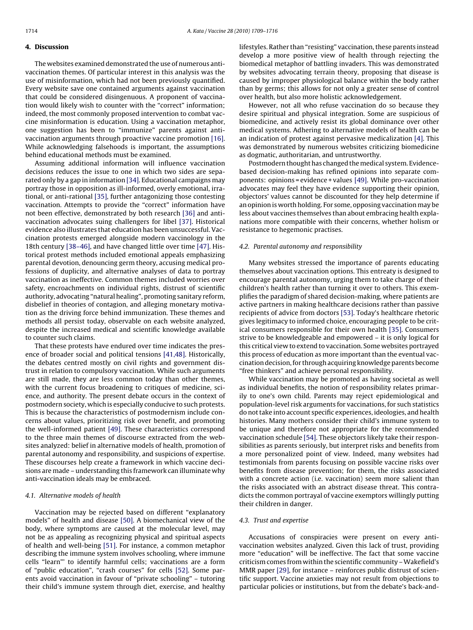## **4. Discussion**

The websites examined demonstrated the use of numerous antivaccination themes. Of particular interest in this analysis was the use of misinformation, which had not been previously quantified. Every website save one contained arguments against vaccination that could be considered disingenuous. A proponent of vaccination would likely wish to counter with the "correct" information; indeed, the most commonly proposed intervention to combat vaccine misinformation is education. Using a vaccination metaphor, one suggestion has been to "immunize" parents against antivaccination arguments through proactive vaccine promotion [\[16\].](#page-6-0) While acknowledging falsehoods is important, the assumptions behind educational methods must be examined.

Assuming additional information will influence vaccination decisions reduces the issue to one in which two sides are separated only by a gap in information [\[34\]. E](#page-7-0)ducational campaigns may portray those in opposition as ill-informed, overly emotional, irrational, or anti-rational [\[35\], f](#page-7-0)urther antagonizing those contesting vaccination. Attempts to provide the "correct" information have not been effective, demonstrated by both research [\[36\]](#page-7-0) and antivaccination advocates suing challengers for libel [\[37\].](#page-7-0) Historical evidence also illustrates that education has been unsuccessful. Vaccination protests emerged alongside modern vaccinology in the 18th century [\[38–46\], a](#page-7-0)nd have changed little over time [\[47\]. H](#page-7-0)istorical protest methods included emotional appeals emphasizing parental devotion, denouncing germ theory, accusing medical professions of duplicity, and alternative analyses of data to portray vaccination as ineffective. Common themes included worries over safety, encroachments on individual rights, distrust of scientific authority, advocating "natural healing", promoting sanitary reform, disbelief in theories of contagion, and alleging monetary motivation as the driving force behind immunization. These themes and methods all persist today, observable on each website analyzed, despite the increased medical and scientific knowledge available to counter such claims.

That these protests have endured over time indicates the presence of broader social and political tensions [\[41,48\]. H](#page-7-0)istorically, the debates centred mostly on civil rights and government distrust in relation to compulsory vaccination. While such arguments are still made, they are less common today than other themes, with the current focus broadening to critiques of medicine, science, and authority. The present debate occurs in the context of postmodern society, which is especially conducive to such protests. This is because the characteristics of postmodernism include concerns about values, prioritizing risk over benefit, and promoting the well-informed patient [\[49\]. T](#page-7-0)hese characteristics correspond to the three main themes of discourse extracted from the websites analyzed: belief in alternative models of health, promotion of parental autonomy and responsibility, and suspicions of expertise. These discourses help create a framework in which vaccine decisions are made – understanding this framework can illuminate why anti-vaccination ideals may be embraced.

## 4.1. Alternative models of health

Vaccination may be rejected based on different "explanatory models" of health and disease [\[50\].](#page-7-0) A biomechanical view of the body, where symptoms are caused at the molecular level, may not be as appealing as recognizing physical and spiritual aspects of health and well-being [\[51\]. F](#page-7-0)or instance, a common metaphor describing the immune system involves schooling, where immune cells "learn"' to identify harmful cells; vaccinations are a form of "public education", "crash courses" for cells [\[52\].](#page-7-0) Some parents avoid vaccination in favour of "private schooling" – tutoring their child's immune system through diet, exercise, and healthy

lifestyles. Rather than "resisting" vaccination, these parents instead develop a more positive view of health through rejecting the biomedical metaphor of battling invaders. This was demonstrated by websites advocating terrain theory, proposing that disease is caused by improper physiological balance within the body rather than by germs; this allows for not only a greater sense of control over health, but also more holistic acknowledgement.

However, not all who refuse vaccination do so because they desire spiritual and physical integration. Some are suspicious of biomedicine, and actively resist its global dominance over other medical systems. Adhering to alternative models of health can be an indication of protest against pervasive medicalization [\[4\]. T](#page-6-0)his was demonstrated by numerous websites criticizing biomedicine as dogmatic, authoritarian, and untrustworthy.

Postmodern thought has changed the medical system. Evidencebased decision-making has refined opinions into separate components: opinions = evidence + values [\[49\]. W](#page-7-0)hile pro-vaccination advocates may feel they have evidence supporting their opinion, objectors' values cannot be discounted for they help determine if an opinion is worth holding. For some, opposing vaccination may be less about vaccines themselves than about embracing health explanations more compatible with their concerns, whether holism or resistance to hegemonic practises.

#### 4.2. Parental autonomy and responsibility

Many websites stressed the importance of parents educating themselves about vaccination options. This entreaty is designed to encourage parental autonomy, urging them to take charge of their children's health rather than turning it over to others. This exemplifies the paradigm of shared decision-making, where patients are active partners in making healthcare decisions rather than passive recipients of advice from doctors [\[53\]. T](#page-7-0)oday's healthcare rhetoric gives legitimacy to informed choice, encouraging people to be critical consumers responsible for their own health [\[35\]. C](#page-7-0)onsumers strive to be knowledgeable and empowered – it is only logical for this critical view to extend to vaccination. Some websites portrayed this process of education as more important than the eventual vaccination decision, for through acquiring knowledge parents become "free thinkers" and achieve personal responsibility.

While vaccination may be promoted as having societal as well as individual benefits, the notion of responsibility relates primarily to one's own child. Parents may reject epidemiological and population-level risk arguments for vaccinations, for such statistics do not take into account specific experiences, ideologies, and health histories. Many mothers consider their child's immune system to be unique and therefore not appropriate for the recommended vaccination schedule [\[54\]. T](#page-7-0)hese objectors likely take their responsibilities as parents seriously, but interpret risks and benefits from a more personalized point of view. Indeed, many websites had testimonials from parents focusing on possible vaccine risks over benefits from disease prevention; for them, the risks associated with a concrete action (i.e. vaccination) seem more salient than the risks associated with an abstract disease threat. This contradicts the common portrayal of vaccine exemptors willingly putting their children in danger.

#### 4.3. Trust and expertise

Accusations of conspiracies were present on every antivaccination websites analyzed. Given this lack of trust, providing more "education" will be ineffective. The fact that some vaccine criticism comes from within the scientific community –Wakefield's MMR paper [\[29\], f](#page-7-0)or instance – reinforces public distrust of scientific support. Vaccine anxieties may not result from objections to particular policies or institutions, but from the debate's back-and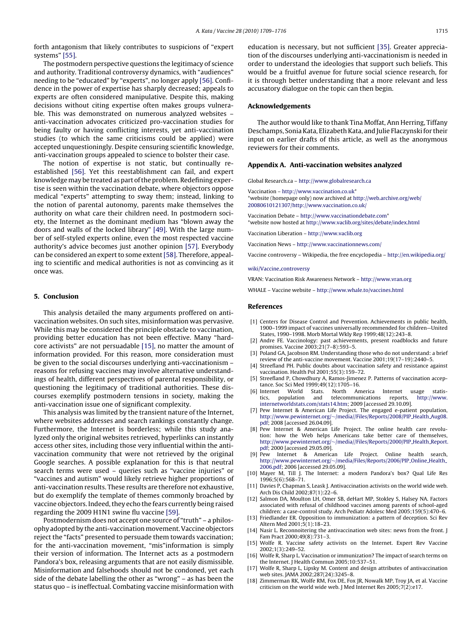<span id="page-6-0"></span>forth antagonism that likely contributes to suspicions of "expert systems" [\[55\].](#page-7-0)

The postmodern perspective questions the legitimacy of science and authority. Traditional controversy dynamics, with "audiences" needing to be "educated" by "experts", no longer apply [\[56\]. C](#page-7-0)onfidence in the power of expertise has sharply decreased; appeals to experts are often considered manipulative. Despite this, making decisions without citing expertise often makes groups vulnerable. This was demonstrated on numerous analyzed websites – anti-vaccination advocates criticized pro-vaccination studies for being faulty or having conflicting interests, yet anti-vaccination studies (to which the same criticisms could be applied) were accepted unquestioningly. Despite censuring scientific knowledge, anti-vaccination groups appealed to science to bolster their case.

The notion of expertise is not static, but continually reestablished [\[56\].](#page-7-0) Yet this reestablishment can fail, and expert knowledge may be treated as part of the problem. Redefining expertise is seen within the vaccination debate, where objectors oppose medical "experts" attempting to sway them; instead, linking to the notion of parental autonomy, parents make themselves the authority on what care their children need. In postmodern society, the Internet as the dominant medium has "blown away the doors and walls of the locked library" [\[49\]. W](#page-7-0)ith the large number of self-styled experts online, even the most respected vaccine authority's advice becomes just another opinion [\[57\]. E](#page-7-0)verybody can be considered an expert to some extent[\[58\]. T](#page-7-0)herefore, appealing to scientific and medical authorities is not as convincing as it once was.

#### **5. Conclusion**

This analysis detailed the many arguments proffered on antivaccination websites. On such sites, misinformation was pervasive. While this may be considered the principle obstacle to vaccination, providing better education has not been effective. Many "hardcore activists" are not persuadable [15], no matter the amount of information provided. For this reason, more consideration must be given to the social discourses underlying anti-vaccinationism – reasons for refusing vaccines may involve alternative understandings of health, different perspectives of parental responsibility, or questioning the legitimacy of traditional authorities. These discourses exemplify postmodern tensions in society, making the anti-vaccination issue one of significant complexity.

This analysis was limited by the transient nature of the Internet, where websites addresses and search rankings constantly change. Furthermore, the Internet is borderless; while this study analyzed only the original websites retrieved, hyperlinks can instantly access other sites, including those very influential within the antivaccination community that were not retrieved by the original Google searches. A possible explanation for this is that neutral search terms were used – queries such as "vaccine injuries" or "vaccines and autism" would likely retrieve higher proportions of anti-vaccination results. These results are therefore not exhaustive, but do exemplify the template of themes commonly broached by vaccine objectors. Indeed, they echo the fears currently being raised regarding the 2009 H1N1 swine flu vaccine [\[59\].](#page-7-0)

Postmodernism does not accept one source of "truth" – a philosophy adopted by the anti-vaccinationmovement. Vaccine objectors reject the "facts" presented to persuade them towards vaccination; for the anti-vaccination movement, "mis"information is simply their version of information. The Internet acts as a postmodern Pandora's box, releasing arguments that are not easily dismissible. Misinformation and falsehoods should not be condoned, yet each side of the debate labelling the other as "wrong" – as has been the status quo – is ineffectual. Combating vaccine misinformation with education is necessary, but not sufficient [\[35\]. G](#page-7-0)reater appreciation of the discourses underlying anti-vaccinationism is needed in order to understand the ideologies that support such beliefs. This would be a fruitful avenue for future social science research, for it is through better understanding that a more relevant and less accusatory dialogue on the topic can then begin.

# **Acknowledgements**

The author would like to thank Tina Moffat, Ann Herring, Tiffany Deschamps, Sonia Kata, Elizabeth Kata, and Julie Flaczynski for their input on earlier drafts of this article, as well as the anonymous reviewers for their comments.

# **Appendix A. Anti-vaccination websites analyzed**

Global Research.ca – [http://www.globalresearch.ca](http://www.globalresearch.ca/)

Vaccination – [http://www.vaccination.co.uk\\*](http://www.vaccination.co.uk/) \*website (homepage only) now archived at [http://web.archive.org/web/](http://web.archive.org/web/20080610penalty -@M 121307/http://www.vaccination.co.uk/) 20080610121307/http://www.vaccination.co.uk/

Vaccination Debate – [http://www.vaccinationdebate.com](http://www.vaccinationdebate.com/)\* \*website now hosted at <http://www.vaclib.org/sites/debate/index.html>

Vaccination Liberation – [http://www.vaclib.org](http://www.vaclib.org/)

Vaccination News – <http://www.vaccinationnews.com/>

Vaccine controversy – Wikipedia, the free encyclopedia – [http://en.wikipedia.org/](http://en.wikipedia.org/wiki/Vaccine_controversy)

# wiki/Vaccine\_controversy

VRAN: Vaccination Risk Awareness Network – [http://www.vran.org](http://www.vran.org/)

WHALE – Vaccine website – <http://www.whale.to/vaccines.html>

#### **References**

- [1] Centers for Disease Control and Prevention. Achievements in public health, 1900–1999 impact of vaccines universally recommended for children—United States, 1990–1998. Morb Mortal Wkly Rep 1999;48(12):243–8.
- [2] Andre FE. Vaccinology: past achievements, present roadblocks and future promises. Vaccine 2003;21(7–8):593–5.
- [3] Poland GA, Jacobson RM. Understanding those who do not understand: a brief review of the anti-vaccine movement. Vaccine 2001;19(17–19):2440–5.
- [4] Streefland PH. Public doubts about vaccination safety and resistance against vaccination. Health Pol 2001;55(3):159–72.
- [5] Streefland P, Chowdhury A, Ramos-Jimenez P. Patterns of vaccination acceptance. Soc Sci Med 1999;49(12):1705–16.<br>Internet World Stats North An
- [6] Internet World Stats. North America Internet usage statistics, population and telecommunications reports, [http://www.](http://www.internetworldstats.com/stats14.htm) internetworldstats.com/stats14.htm; 2009 [accessed 29.10.09].
- [7] Pew Internet & American Life Project. The engaged e-patient population, http://www.pewinternet.org/∼[/media//Files/Reports/2008/PIP](http://www.pewinternet.org/~/media//Files/Reports/2008/PIP_Health_Aug08.pdf) Health Aug08. pdf; 2008 [accessed 26.04.09].
- [8] Pew Internet & American Life Project. The online health care revolu-tion: how the Web helps Americans take better care of themselves, http://www.pewinternet.org/∼[/media//Files/Reports/2000/PIP](http://www.pewinternet.org/~/media//Files/Reports/2000/PIP_Health_Report.pdf) Health Report. pdf; 2000 [accessed 29.05.09].<br>[9] Pew Internet & America
- Internet & American Life Project. Online health search, http://www.pewinternet.org/∼[/media/Files/Reports/2006/PIP](http://www.pewinternet.org/~/media/Files/Reports/2006/PIP_Online_Health_2006.pdf) Online Health 2006.pdf; 2006 [accessed 29.05.09].
- [10] Mayer M, Till J. The Internet: a modern Pandora's box? Qual Life Res 1996;5(6):568–71.
- [11] Davies P, Chapman S, Leask J. Antivaccination activists on the world wide web. Arch Dis Child 2002;87(1):22–6.
- [12] Salmon DA, Moulton LH, Omer SB, deHart MP, Stokley S, Halsey NA. Factors associated with refusal of childhood vaccines among parents of school-aged children: a case-control study. Arch Pediatr Adolesc Med 2005;159(5):470–6.
- [13] Friedlander ER. Opposition to immunization: a pattern of deception. Sci Rev Altern Med 2001;5(1):18–23.
- [14] Nasir L. Reconnoitering the antivaccination web sites: news from the front. J Fam Pract 2000;49(8):731–3.
- [15] Wolfe R. Vaccine safety activists on the Internet. Expert Rev Vaccine 2002;1(3):249–52.
- [16] Wolfe R, Sharp L. Vaccination or immunization? The impact of search terms on the Internet. J Health Commun 2005;10:537–51.
- [17] Wolfe R, Sharp L, Lipsky M. Content and design attributes of antivaccination web sites. JAMA 2002;287(24):3245–8.
- [18] Zimmerman RK, Wolfe RM, Fox DE, Fox JR, Nowalk MP, Troy JA, et al. Vaccine criticism on the world wide web. J Med Internet Res 2005;7(2):e17.